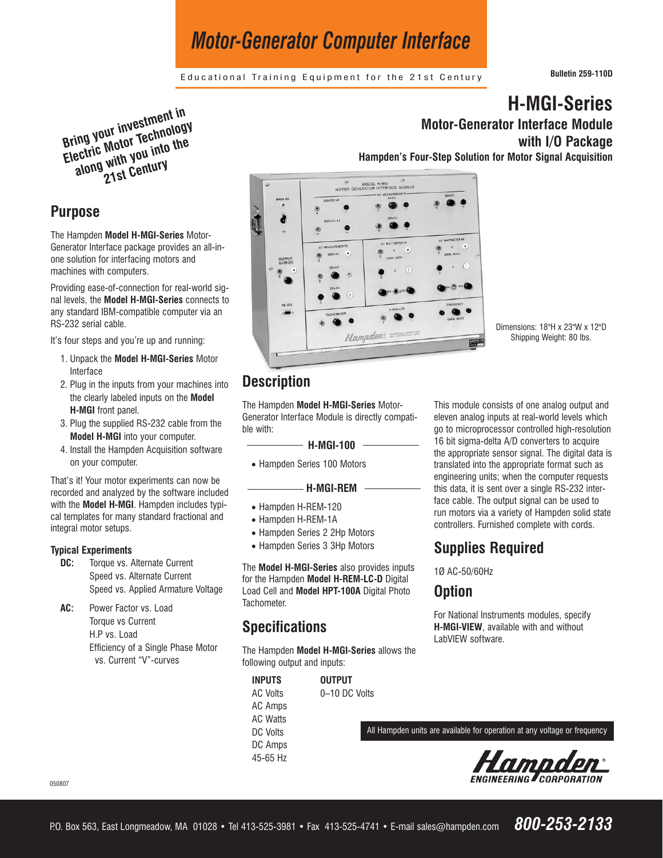# *Motor-Generator Computer Interface*

Educational Training Equipment for the 21st Century **Bulletin 259-110D**

**Bring your investment in Electric Motor Technology along with you into the 21st Century**

### **Purpose**

The Hampden **Model H-MGI-Series** Motor-Generator Interface package provides an all-inone solution for interfacing motors and machines with computers.

Providing ease-of-connection for real-world signal levels, the **Model H-MGI-Series** connects to any standard IBM-compatible computer via an RS-232 serial cable.

It's four steps and you're up and running:

- 1. Unpack the **Model H-MGI-Series** Motor Interface
- 2. Plug in the inputs from your machines into the clearly labeled inputs on the **Model H-MGI** front panel.
- 3. Plug the supplied RS-232 cable from the **Model H-MGI** into your computer.
- 4. Install the Hampden Acquisition software on your computer.

That's it! Your motor experiments can now be recorded and analyzed by the software included with the **Model H-MGI**. Hampden includes typical templates for many standard fractional and integral motor setups.

#### **Typical Experiments**

- **DC:** Torque vs. Alternate Current Speed vs. Alternate Current Speed vs. Applied Armature Voltage
- **AC:** Power Factor vs. Load Torque vs Current H.P vs. Load Efficiency of a Single Phase Motor vs. Current "V"-curves

**H-MGI-Series Motor-Generator Interface Module** 

**with I/O Package**

**Hampden's Four-Step Solution for Motor Signal Acquisition**



Dimensions: 18"H x 23"W x 12"D Shipping Weight: 80 lbs.

# **Description**

The Hampden **Model H-MGI-Series** Motor-Generator Interface Module is directly compatible with:

#### **H-MGI-100**

• Hampden Series 100 Motors

#### **H-MGI-REM**

- Hampden H-REM-120
- Hampden H-REM-1A
- Hampden Series 2 2Hp Motors
- Hampden Series 3 3Hp Motors

The **Model H-MGI-Series** also provides inputs for the Hampden **Model H-REM-LC-D** Digital Load Cell and **Model HPT-100A** Digital Photo Tachometer.

## **Specifications**

The Hampden **Model H-MGI-Series** allows the following output and inputs:

**INPUTS OUTPUT** AC Volts 0–10 DC Volts AC Amps AC Watts DC Volts DC Amps 45-65 Hz

This module consists of one analog output and eleven analog inputs at real-world levels which go to microprocessor controlled high-resolution 16 bit sigma-delta A/D converters to acquire the appropriate sensor signal. The digital data is translated into the appropriate format such as engineering units; when the computer requests this data, it is sent over a single RS-232 interface cable. The output signal can be used to run motors via a variety of Hampden solid state controllers. Furnished complete with cords.

## **Supplies Required**

1Ø AC-50/60Hz

### **Option**

For National Instruments modules, specify **H-MGI-VIEW**, available with and without LabVIEW software.

All Hampden units are available for operation at any voltage or frequency



050807